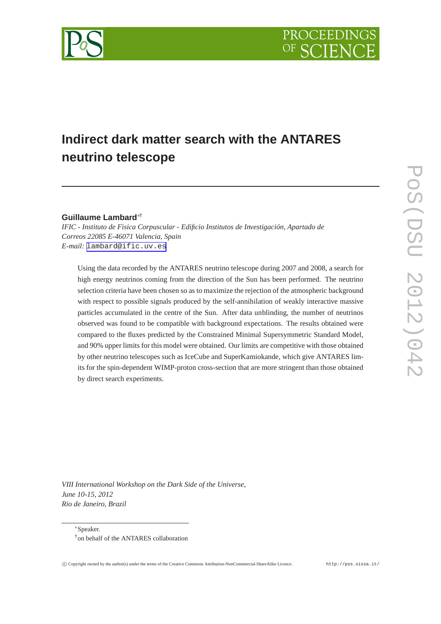

# **Indirect dark matter search with the ANTARES neutrino telescope**

# **Guillaume Lambard**∗†

*IFIC - Instituto de Fìsica Corpuscular - Edificio Institutos de Investigación, Apartado de Correos 22085 E-46071 Valencia, Spain E-mail:* [lambard@ific.uv.es](mailto:lambard@ific.uv.es)

Using the data recorded by the ANTARES neutrino telescope during 2007 and 2008, a search for high energy neutrinos coming from the direction of the Sun has been performed. The neutrino selection criteria have been chosen so as to maximize the rejection of the atmospheric background with respect to possible signals produced by the self-annihilation of weakly interactive massive particles accumulated in the centre of the Sun. After data unblinding, the number of neutrinos observed was found to be compatible with background expectations. The results obtained were compared to the fluxes predicted by the Constrained Minimal Supersymmetric Standard Model, and 90% upper limits for this model were obtained. Our limits are competitive with those obtained by other neutrino telescopes such as IceCube and SuperKamiokande, which give ANTARES limits for the spin-dependent WIMP-proton cross-section that are more stringent than those obtained by direct search experiments.

*VIII International Workshop on the Dark Side of the Universe, June 10-15, 2012 Rio de Janeiro, Brazil*

<sup>∗</sup>Speaker. †on behalf of the ANTARES collaboration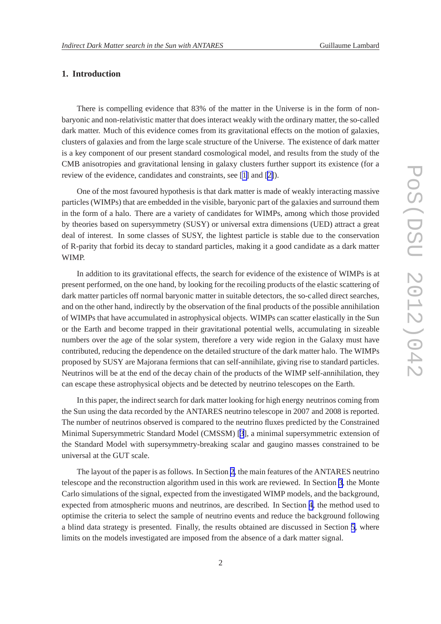# **1. Introduction**

There is compelling evidence that 83% of the matter in the Universe is in the form of nonbaryonic and non-relativistic matter that does interact weakly with the ordinary matter, the so-called dark matter. Much of this evidence comes from its gravitational effects on the motion of galaxies, clusters of galaxies and from the large scale structure of the Universe. The existence of dark matter is a key component of our present standard cosmological model, and results from the study of the CMB anisotropies and gravitational lensing in galaxy clusters further support its existence (for a review of the evidence, candidates and constraints, see [\[1\]](#page-7-0) and [[2\]](#page-7-0)).

One of the most favoured hypothesis is that dark matter is made of weakly interacting massive particles (WIMPs) that are embedded in the visible, baryonic part of the galaxies and surround them in the form of a halo. There are a variety of candidates for WIMPs, among which those provided by theories based on supersymmetry (SUSY) or universal extra dimensions (UED) attract a great deal of interest. In some classes of SUSY, the lightest particle is stable due to the conservation of R-parity that forbid its decay to standard particles, making it a good candidate as a dark matter WIMP.

In addition to its gravitational effects, the search for evidence of the existence of WIMPs is at present performed, on the one hand, by looking for the recoiling products of the elastic scattering of dark matter particles off normal baryonic matter in suitable detectors, the so-called direct searches, and on the other hand, indirectly by the observation of the final products of the possible annihilation of WIMPs that have accumulated in astrophysical objects. WIMPs can scatter elastically in the Sun or the Earth and become trapped in their gravitational potential wells, accumulating in sizeable numbers over the age of the solar system, therefore a very wide region in the Galaxy must have contributed, reducing the dependence on the detailed structure of the dark matter halo. The WIMPs proposed by SUSY are Majorana fermions that can self-annihilate, giving rise to standard particles. Neutrinos will be at the end of the decay chain of the products of the WIMP self-annihilation, they can escape these astrophysical objects and be detected by neutrino telescopes on the Earth.

In this paper, the indirect search for dark matter looking for high energy neutrinos coming from the Sun using the data recorded by the ANTARES neutrino telescope in 2007 and 2008 is reported. The number of neutrinos observed is compared to the neutrino fluxes predicted by the Constrained Minimal Supersymmetric Standard Model (CMSSM) [[3](#page-7-0)], a minimal supersymmetric extension of the Standard Model with supersymmetry-breaking scalar and gaugino masses constrained to be universal at the GUT scale.

The layout of the paper is as follows. In Section [2](#page-2-0), the main features of the ANTARES neutrino telescope and the reconstruction algorithm used in this work are reviewed. In Section [3](#page-2-0), the Monte Carlo simulations of the signal, expected from the investigated WIMP models, and the background, expected from atmospheric muons and neutrinos, are described. In Section [4](#page-3-0), the method used to optimise the criteria to select the sample of neutrino events and reduce the background following a blind data strategy is presented. Finally, the results obtained are discussed in Section [5,](#page-4-0) where limits on the models investigated are imposed from the absence of a dark matter signal.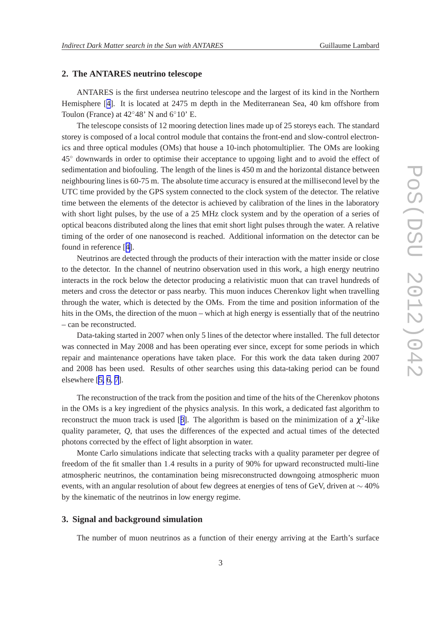## <span id="page-2-0"></span>**2. The ANTARES neutrino telescope**

ANTARES is the first undersea neutrino telescope and the largest of its kind in the Northern Hemisphere [[4](#page-7-0)]. It is located at 2475 m depth in the Mediterranean Sea, 40 km offshore from Toulon (France) at  $42°48'$  N and  $6°10'$  E.

The telescope consists of 12 mooring detection lines made up of 25 storeys each. The standard storey is composed of a local control module that contains the front-end and slow-control electronics and three optical modules (OMs) that house a 10-inch photomultiplier. The OMs are looking 45◦ downwards in order to optimise their acceptance to upgoing light and to avoid the effect of sedimentation and biofouling. The length of the lines is 450 m and the horizontal distance between neighbouring lines is 60-75 m. The absolute time accuracy is ensured at the millisecond level by the UTC time provided by the GPS system connected to the clock system of the detector. The relative time between the elements of the detector is achieved by calibration of the lines in the laboratory with short light pulses, by the use of a 25 MHz clock system and by the operation of a series of optical beacons distributed along the lines that emit short light pulses through the water. A relative timing of the order of one nanosecond is reached. Additional information on the detector can be found in reference [[4\]](#page-7-0).

Neutrinos are detected through the products of their interaction with the matter inside or close to the detector. In the channel of neutrino observation used in this work, a high energy neutrino interacts in the rock below the detector producing a relativistic muon that can travel hundreds of meters and cross the detector or pass nearby. This muon induces Cherenkov light when travelling through the water, which is detected by the OMs. From the time and position information of the hits in the OMs, the direction of the muon – which at high energy is essentially that of the neutrino – can be reconstructed.

Data-taking started in 2007 when only 5 lines of the detector where installed. The full detector was connected in May 2008 and has been operating ever since, except for some periods in which repair and maintenance operations have taken place. For this work the data taken during 2007 and 2008 has been used. Results of other searches using this data-taking period can be found elsewhere [[5, 6](#page-7-0), [7](#page-7-0)].

The reconstruction of the track from the position and time of the hits of the Cherenkov photons in the OMs is a key ingredient of the physics analysis. In this work, a dedicated fast algorithm to reconstruct the muon track is used [[8\]](#page-7-0). The algorithm is based on the minimization of a  $\chi^2$ -like quality parameter, *Q*, that uses the differences of the expected and actual times of the detected photons corrected by the effect of light absorption in water.

Monte Carlo simulations indicate that selecting tracks with a quality parameter per degree of freedom of the fit smaller than 1.4 results in a purity of 90% for upward reconstructed multi-line atmospheric neutrinos, the contamination being misreconstructed downgoing atmospheric muon events, with an angular resolution of about few degrees at energies of tens of GeV, driven at  $\sim$  40% by the kinematic of the neutrinos in low energy regime.

### **3. Signal and background simulation**

The number of muon neutrinos as a function of their energy arriving at the Earth's surface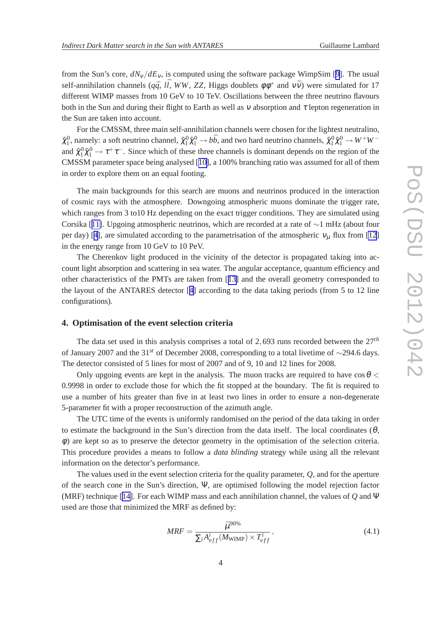<span id="page-3-0"></span>from the Sun's core,  $dN_v/dE_v$ , is computed using the software package WimpSim [[9](#page-7-0)]. The usual self-annihilation channels ( $q\bar{q}$ , *ll*, *WW*, *ZZ*, Higgs doublets  $\phi \phi^*$  and  $v\bar{v}$ ) were simulated for 17 different WIMP masses from 10 GeV to 10 TeV. Oscillations between the three neutrino flavours both in the Sun and during their flight to Earth as well as  $\nu$  absorption and  $\tau$  lepton regeneration in the Sun are taken into account.

For the CMSSM, three main self-annihilation channels were chosen for the lightest neutralino,  $\tilde{\chi}_1^0$ , namely: a soft neutrino channel,  $\tilde{\chi}_1^0 \tilde{\chi}_1^0 \to b\bar{b}$ , and two hard neutrino channels,  $\tilde{\chi}_1^0 \tilde{\chi}_1^0 \to W^+W^$ and  $\tilde{\chi}_1^0 \tilde{\chi}_1^0 \to \tau^+\tau^-$ . Since which of these three channels is dominant depends on the region of the CMSSM parameter space being analysed [[10\]](#page-7-0), a 100% branching ratio was assumed for all of them in order to explore them on an equal footing.

The main backgrounds for this search are muons and neutrinos produced in the interaction of cosmic rays with the atmosphere. Downgoing atmospheric muons dominate the trigger rate, which ranges from 3 to 10 Hz depending on the exact trigger conditions. They are simulated using Corsika [[11\]](#page-7-0). Upgoing atmospheric neutrinos, which are recorded at a rate of ∼1 mHz (about four per day) [[4\]](#page-7-0), are simulated according to the parametrisation of the atmospheric  $v_{\mu}$  flux from [\[12](#page-7-0)] in the energy range from 10 GeV to 10 PeV.

The Cherenkov light produced in the vicinity of the detector is propagated taking into account light absorption and scattering in sea water. The angular acceptance, quantum efficiency and other characteristics of the PMTs are taken from [[13\]](#page-7-0) and the overall geometry corresponded to the layout of the ANTARES detector [[4\]](#page-7-0) according to the data taking periods (from 5 to 12 line configurations).

#### **4. Optimisation of the event selection criteria**

The data set used in this analysis comprises a total of 2,693 runs recorded between the 27*th* of January 2007 and the 31*st* of December 2008, corresponding to a total livetime of ∼294.6 days. The detector consisted of 5 lines for most of 2007 and of 9, 10 and 12 lines for 2008.

Only upgoing events are kept in the analysis. The muon tracks are required to have  $\cos\theta$ 0.9998 in order to exclude those for which the fit stopped at the boundary. The fit is required to use a number of hits greater than five in at least two lines in order to ensure a non-degenerate 5-parameter fit with a proper reconstruction of the azimuth angle.

The UTC time of the events is uniformly randomised on the period of the data taking in order to estimate the background in the Sun's direction from the data itself. The local coordinates  $(\theta, \theta)$ φ) are kept so as to preserve the detector geometry in the optimisation of the selection criteria. This procedure provides a means to follow a *data blinding* strategy while using all the relevant information on the detector's performance.

The values used in the event selection criteria for the quality parameter, *Q*, and for the aperture of the search cone in the Sun's direction, Ψ, are optimised following the model rejection factor (MRF) technique [[14\]](#page-7-0). For each WIMP mass and each annihilation channel, the values of *Q* and Ψ used are those that minimized the MRF as defined by:

$$
MRF = \frac{\bar{\mu}^{90\%}}{\sum_{i} A_{eff}^{i}(M_{\text{WIMP}}) \times T_{eff}^{i}},
$$
\n(4.1)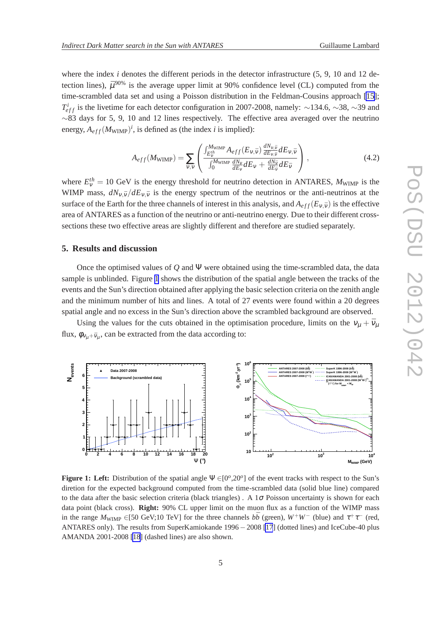<span id="page-4-0"></span>where the index *i* denotes the different periods in the detector infrastructure (5, 9, 10 and 12 detection lines),  $\bar{\mu}^{90\%}$  is the average upper limit at 90% confidence level (CL) computed from the time-scrambled data set and using a Poisson distribution in the Feldman-Cousins approach [\[15](#page-7-0)]; *T*<sup>*i*</sup><sub>*eff*</sub> is the livetime for each detector configuration in 2007-2008, namely: ∼134.6, ∼38, ∼39 and ∼83 days for 5, 9, 10 and 12 lines respectively. The effective area averaged over the neutrino energy,  $A_{eff}(M_{\text{WIMP}})^i$ , is defined as (the index *i* is implied):

$$
A_{eff}(M_{\text{WIMP}}) = \sum_{v,\bar{v}} \left( \frac{\int_{E_v^{th}}^{M_{\text{WIMP}}} A_{eff}(E_{v,\bar{v}}) \frac{dN_{v,\bar{v}}}{dE_{v,\bar{v}}} dE_{v,\bar{v}}}{\int_0^{M_{\text{WIMP}}} \frac{dN_v}{dE_v} dE_v + \frac{dN_{\bar{v}}}{dE_{\bar{v}}} dE_{\bar{v}}} \right), \qquad (4.2)
$$

where  $E_V^{th} = 10$  GeV is the energy threshold for neutrino detection in ANTARES,  $M_{\text{WIMP}}$  is the WIMP mass,  $dN_{v, \bar{v}}/dE_{v, \bar{v}}$  is the energy spectrum of the neutrinos or the anti-neutrinos at the surface of the Earth for the three channels of interest in this analysis, and  $A_{eff}(E_{v,\bar{v}})$  is the effective area of ANTARES as a function of the neutrino or anti-neutrino energy. Due to their different crosssections these two effective areas are slightly different and therefore are studied separately.

#### **5. Results and discussion**

Once the optimised values of *Q* and Ψ were obtained using the time-scrambled data, the data sample is unblinded. Figure 1 shows the distribution of the spatial angle between the tracks of the events and the Sun's direction obtained after applying the basic selection criteria on the zenith angle and the minimum number of hits and lines. A total of 27 events were found within a 20 degrees spatial angle and no excess in the Sun's direction above the scrambled background are observed.

Using the values for the cuts obtained in the optimisation procedure, limits on the  $v_{\mu} + \bar{v}_{\mu}$ flux,  $\phi_{v_\mu + \bar{v}_\mu}$ , can be extracted from the data according to:



**Figure 1: Left:** Distribution of the spatial angle  $\Psi \in [0^o, 20^o]$  of the event tracks with respect to the Sun's diretion for the expected background computed from the time-scrambled data (solid blue line) compared to the data after the basic selection criteria (black triangles). A  $1\sigma$  Poisson uncertainty is shown for each data point (black cross). **Right:** 90% CL upper limit on the muon flux as a function of the WIMP mass in the range  $M_{\text{WIMP}} \in [50 \text{ GeV}; 10 \text{ TeV}]$  for the three channels  $b\bar{b}$  (green),  $W^+W^-$  (blue) and  $\tau^+\tau^-$  (red, ANTARES only). The results from SuperKamiokande 1996−2008 [\[17](#page-7-0)] (dotted lines) and IceCube-40 plus AMANDA 2001-2008 [\[18](#page-7-0)] (dashed lines) are also shown.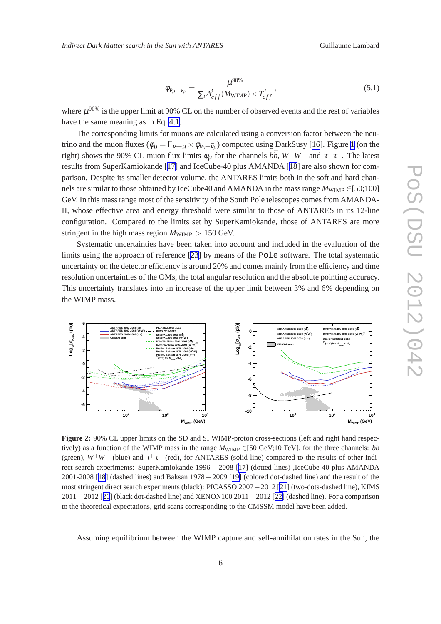$$
\phi_{v_{\mu} + \bar{v}_{\mu}} = \frac{\mu^{90\%}}{\sum_{i} A_{eff}^{i}(M_{\text{WIMP}}) \times T_{eff}^{i}},
$$
\n(5.1)

<span id="page-5-0"></span>where  $\mu^{90\%}$  is the upper limit at 90% CL on the number of observed events and the rest of variables have the same meaning as in Eq. [4.1](#page-3-0).

The corresponding limits for muons are calculated using a conversion factor between the neutrino and the muon fluxes  $(\phi_{\mu} = \Gamma_{v \to \mu} \times \phi_{v_{\mu} + \bar{v}_{\mu}})$  computed using DarkSusy [[16\]](#page-7-0). Figure [1](#page-4-0) (on the right) shows the 90% CL muon flux limits  $\phi_{\mu}$  for the channels  $b\bar{b}$ ,  $W^+W^-$  and  $\tau^+\tau^-$ . The latest results from SuperKamiokande [[17\]](#page-7-0) and IceCube-40 plus AMANDA [\[18](#page-7-0)] are also shown for comparison. Despite its smaller detector volume, the ANTARES limits both in the soft and hard channels are similar to those obtained by IceCube40 and AMANDA in the mass range  $M_{\text{WIMP}}$  ∈[50;100] GeV. In this mass range most of the sensitivity of the South Pole telescopes comes from AMANDA-II, whose effective area and energy threshold were similar to those of ANTARES in its 12-line configuration. Compared to the limits set by SuperKamiokande, those of ANTARES are more stringent in the high mass region  $M_{\text{WIMP}} > 150 \text{ GeV}$ .

Systematic uncertainties have been taken into account and included in the evaluation of the limits using the approach of reference [\[23\]](#page-7-0) by means of the Pole software. The total systematic uncertainty on the detector efficiency is around 20% and comes mainly from the efficiency and time resolution uncertainties of the OMs, the total angular resolution and the absolute pointing accuracy. This uncertainty translates into an increase of the upper limit between 3% and 6% depending on the WIMP mass.



**Figure 2:** 90% CL upper limits on the SD and SI WIMP-proton cross-sections (left and right hand respectively) as a function of the WIMP mass in the range  $M_{\text{WIMP}} \in [50 \text{ GeV}; 10 \text{ TeV}]$ , for the three channels:  $b\bar{b}$ (green),  $W^+W^-$  (blue) and  $\tau^+\tau^-$  (red), for ANTARES (solid line) compared to the results of other indirect search experiments: SuperKamiokande 1996 − 2008 [[17\]](#page-7-0) (dotted lines) ,IceCube-40 plus AMANDA 2001-2008 [[18](#page-7-0)] (dashed lines) and Baksan 1978−2009 [[19\]](#page-7-0) (colored dot-dashed line) and the result of the most stringent direct search experiments (black): PICASSO 2007−2012 [\[21](#page-7-0)] (two-dots-dashed line), KIMS 2011−2012 [[20](#page-7-0)] (black dot-dashed line) and XENON100 2011−2012 [[22\]](#page-7-0) (dashed line). For a comparison to the theoretical expectations, grid scans corresponding to the CMSSM model have been added.

Assuming equilibrium between the WIMP capture and self-annihilation rates in the Sun, the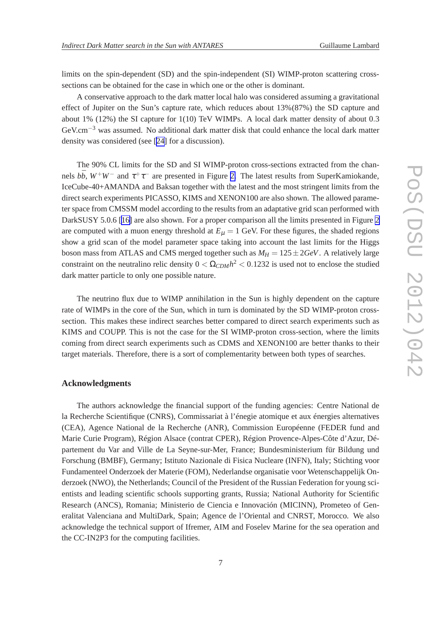limits on the spin-dependent (SD) and the spin-independent (SI) WIMP-proton scattering crosssections can be obtained for the case in which one or the other is dominant.

A conservative approach to the dark matter local halo was considered assuming a gravitational effect of Jupiter on the Sun's capture rate, which reduces about 13%(87%) the SD capture and about 1% (12%) the SI capture for 1(10) TeV WIMPs. A local dark matter density of about 0.3 GeV.cm−<sup>3</sup> was assumed. No additional dark matter disk that could enhance the local dark matter density was considered (see [[24\]](#page-7-0) for a discussion).

The 90% CL limits for the SD and SI WIMP-proton cross-sections extracted from the channels  $b\bar{b}$ ,  $W^+W^-$  and  $\tau^+\tau^-$  are presented in Figure [2.](#page-5-0) The latest results from SuperKamiokande, IceCube-40+AMANDA and Baksan together with the latest and the most stringent limits from the direct search experiments PICASSO, KIMS and XENON100 are also shown. The allowed parameter space from CMSSM model according to the results from an adaptative grid scan performed with DarkSUSY 5.0.6 [[16\]](#page-7-0) are also shown. For a proper comparison all the limits presented in Figure [2](#page-5-0) are computed with a muon energy threshold at  $E<sub>u</sub> = 1$  GeV. For these figures, the shaded regions show a grid scan of the model parameter space taking into account the last limits for the Higgs boson mass from ATLAS and CMS merged together such as  $M_H = 125 \pm 2 GeV$ . A relatively large constraint on the neutralino relic density  $0 < \Omega_{CDM} h^2 < 0.1232$  is used not to enclose the studied dark matter particle to only one possible nature.

The neutrino flux due to WIMP annihilation in the Sun is highly dependent on the capture rate of WIMPs in the core of the Sun, which in turn is dominated by the SD WIMP-proton crosssection. This makes these indirect searches better compared to direct search experiments such as KIMS and COUPP. This is not the case for the SI WIMP-proton cross-section, where the limits coming from direct search experiments such as CDMS and XENON100 are better thanks to their target materials. Therefore, there is a sort of complementarity between both types of searches.

### **Acknowledgments**

The authors acknowledge the financial support of the funding agencies: Centre National de la Recherche Scientifique (CNRS), Commissariat à l'énegie atomique et aux énergies alternatives (CEA), Agence National de la Recherche (ANR), Commission Européenne (FEDER fund and Marie Curie Program), Région Alsace (contrat CPER), Région Provence-Alpes-Côte d'Azur, Département du Var and Ville de La Seyne-sur-Mer, France; Bundesministerium für Bildung und Forschung (BMBF), Germany; Istituto Nazionale di Fisica Nucleare (INFN), Italy; Stichting voor Fundamenteel Onderzoek der Materie (FOM), Nederlandse organisatie voor Wetenschappelijk Onderzoek (NWO), the Netherlands; Council of the President of the Russian Federation for young scientists and leading scientific schools supporting grants, Russia; National Authority for Scientific Research (ANCS), Romania; Ministerio de Ciencia e Innovación (MICINN), Prometeo of Generalitat Valenciana and MultiDark, Spain; Agence de l'Oriental and CNRST, Morocco. We also acknowledge the technical support of Ifremer, AIM and Foselev Marine for the sea operation and the CC-IN2P3 for the computing facilities.